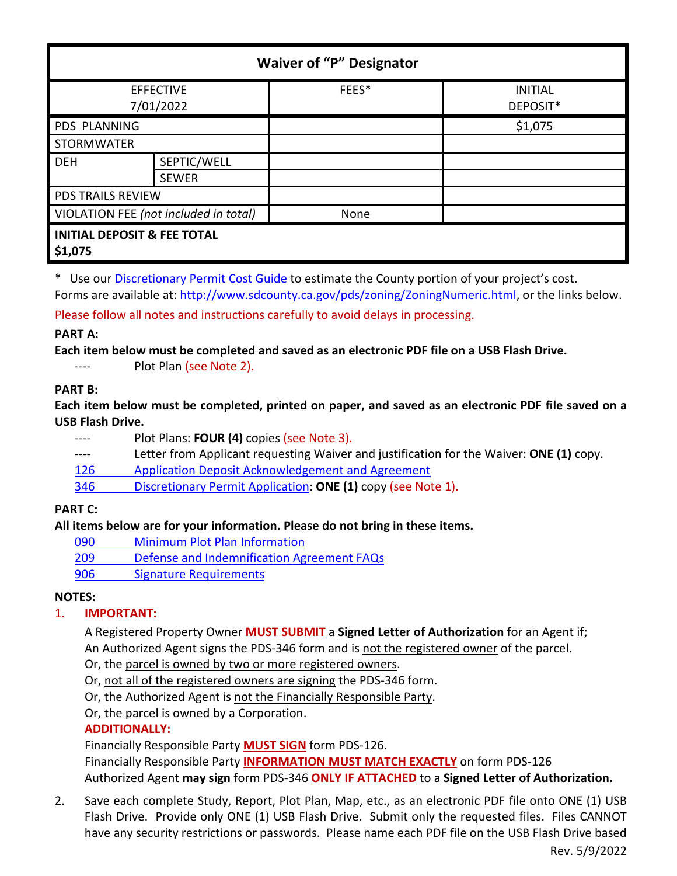| <b>Waiver of "P" Designator</b>                   |                             |       |                            |
|---------------------------------------------------|-----------------------------|-------|----------------------------|
| <b>EFFECTIVE</b><br>7/01/2022                     |                             | FEES* | <b>INITIAL</b><br>DEPOSIT* |
| PDS PLANNING                                      |                             |       | \$1,075                    |
| <b>STORMWATER</b>                                 |                             |       |                            |
| <b>DEH</b>                                        | SEPTIC/WELL<br><b>SEWER</b> |       |                            |
| <b>PDS TRAILS REVIEW</b>                          |                             |       |                            |
| VIOLATION FEE (not included in total)             |                             | None  |                            |
| <b>INITIAL DEPOSIT &amp; FEE TOTAL</b><br>\$1,075 |                             |       |                            |

\* Use ou[r Discretionary Permit Cost Guide](http://www.sandiegocounty.gov/content/dam/sdc/pds/docs/Discretionary_Permit_Cost_Guide.xlsx) to estimate the County portion of your project's cost.

Forms are available at[: http://www.sdcounty.ca.gov/pds/zoning/ZoningNumeric.html,](http://www.sdcounty.ca.gov/pds/zoning/ZoningNumeric.html) or the links below. Please follow all notes and instructions carefully to avoid delays in processing.

### **PART A:**

**Each item below must be completed and saved as an electronic PDF file on a USB Flash Drive.**

---- Plot Plan (see Note 2).

### **PART B:**

**Each item below must be completed, printed on paper, and saved as an electronic PDF file saved on a USB Flash Drive.**

---- Plot Plans: **FOUR (4)** copies (see Note 3). ---- Letter from Applicant requesting Waiver and justification for the Waiver: **ONE (1)** copy. 126 [Application Deposit Acknowledgement and Agreement](https://www.sandiegocounty.gov/content/dam/sdc/pds/zoning/formfields/PDS-PLN-126.pdf) 346 [Discretionary Permit Application:](http://www.sdcounty.ca.gov/pds/zoning/formfields/PDS-PLN-346.pdf) **ONE (1)** copy (see Note 1).

## **PART C:**

## **All items below are for your information. Please do not bring in these items.**

- 090 [Minimum Plot Plan Information](http://www.sdcounty.ca.gov/pds/docs/pds090.pdf)
- 209 [Defense and Indemnification Agreement FAQs](http://www.sdcounty.ca.gov/pds/zoning/formfields/PDS-PLN-209.pdf)
- [906 Signature Requirements](http://www.sdcounty.ca.gov/pds/zoning/formfields/PDS-PLN-906.pdf)

## **NOTES:**

## 1. **IMPORTANT:**

A Registered Property Owner **MUST SUBMIT** a **Signed Letter of Authorization** for an Agent if; An Authorized Agent signs the PDS-346 form and is not the registered owner of the parcel.

Or, the parcel is owned by two or more registered owners.

Or, not all of the registered owners are signing the PDS-346 form.

Or, the Authorized Agent is not the Financially Responsible Party.

Or, the parcel is owned by a Corporation.

# **ADDITIONALLY:**

Financially Responsible Party **MUST SIGN** form PDS-126. Financially Responsible Party **INFORMATION MUST MATCH EXACTLY** on form PDS-126 Authorized Agent **may sign** form PDS-346 **ONLY IF ATTACHED** to a **Signed Letter of Authorization.**

2. Save each complete Study, Report, Plot Plan, Map, etc., as an electronic PDF file onto ONE (1) USB Flash Drive. Provide only ONE (1) USB Flash Drive. Submit only the requested files. Files CANNOT have any security restrictions or passwords. Please name each PDF file on the USB Flash Drive based